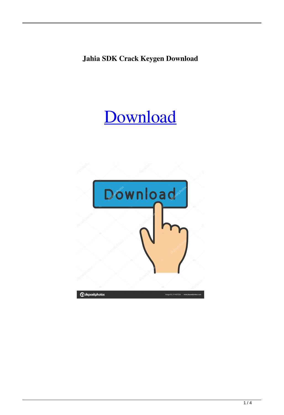**Jahia SDK Crack Keygen Download**

# [Download](http://evacdir.com/constitutive/toasting/essalon/ZG93bmxvYWR8NWVVTWpCMWRIeDhNVFkxTkRVeU1qRXhNSHg4TWpVM05IeDhLRTBwSUhKbFlXUXRZbXh2WnlCYlJtRnpkQ0JIUlU1ZA=SmFoaWEgU0RLSmF?alan=ferociously)

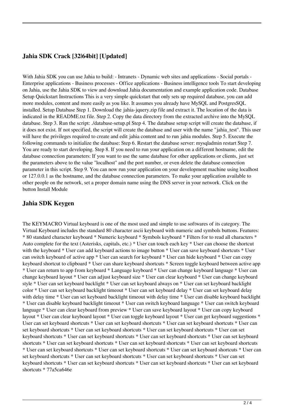## **Jahia SDK Crack [32|64bit] [Updated]**

With Jahia SDK you can use Jahia to build: - Intranets - Dynamic web sites and applications - Social portals -Enterprise applications - Business processes - Office applications - Business intelligence tools To start developing on Jahia, use the Jahia SDK to view and download Jahia documentation and example application code. Database Setup Quickstart Instructions This is a very simple quickstart that only sets up required database, you can add more modules, content and more easily as you like. It assumes you already have MySQL and PostgresSQL installed. Setup Database Step 1. Download the jahia-jquery.zip file and extract it. The location of the data is indicated in the README.txt file. Step 2. Copy the data directory from the extracted archive into the MySQL database. Step 3. Run the script: ./database-setup.pl Step 4. The database setup script will create the database, if it does not exist. If not specified, the script will create the database and user with the name "jahia\_test". This user will have the privileges required to create and edit jahia content and to run jahia modules. Step 5. Execute the following commands to initialize the database: Step 6. Restart the database server: mysqladmin restart Step 7. You are ready to start developing. Step 8. If you need to run your application on a different hostname, edit the database connection parameters: If you want to use the same database for other applications or clients, just set the parameters above to the value "localhost" and the port number, or even delete the database connection parameter in this script. Step 9. You can now run your application on your development machine using localhost or 127.0.0.1 as the hostname, and the database connection parameters. To make your application available to other people on the network, set a proper domain name using the DNS server in your network. Click on the button Install Module

### **Jahia SDK Keygen**

The KEYMACRO Virtual keyboard is one of the most used and simple to use softwares of its category. The Virtual Keyboard includes the standard 80 character ascii keyboard with numeric and symbols buttons. Features: \* 80 standard character keyboard \* Numeric keyboard \* Symbols keyboard \* Filters for to read all characters \* Auto complete for the text (Asterisks, capitals, etc.) \* User can touch each key \* User can choose the shortcut with the keyboard \* User can add keyboard actions to image button \* User can save keyboard shortcuts \* User can switch keyboard of active app \* User can search for keyboard \* User can hide keyboard \* User can copy keyboard shortcut to clipboard \* User can share keyboard shortcuts \* Screen toggle keyboard between active app \* User can return to app from keyboard \* Language keyboard \* User can change keyboard language \* User can change keyboard layout \* User can adjust keyboard size \* User can clear keyboard \* User can change keyboard style \* User can set keyboard backlight \* User can set keyboard always on \* User can set keyboard backlight color \* User can set keyboard backlight timeout \* User can set keyboard delay \* User can set keyboard delay with delay time \* User can set keyboard backlight timeout with delay time \* User can disable keyboard backlight \* User can disable keyboard backlight timeout \* User can switch keyboard language \* User can switch keyboard language \* User can clear keyboard from preview \* User can save keyboard layout \* User can copy keyboard layout \* User can clear keyboard layout \* User can toggle keyboard layout \* User can get keyboard suggestions \* User can set keyboard shortcuts \* User can set keyboard shortcuts \* User can set keyboard shortcuts \* User can set keyboard shortcuts \* User can set keyboard shortcuts \* User can set keyboard shortcuts \* User can set keyboard shortcuts \* User can set keyboard shortcuts \* User can set keyboard shortcuts \* User can set keyboard shortcuts \* User can set keyboard shortcuts \* User can set keyboard shortcuts \* User can set keyboard shortcuts \* User can set keyboard shortcuts \* User can set keyboard shortcuts \* User can set keyboard shortcuts \* User can set keyboard shortcuts \* User can set keyboard shortcuts \* User can set keyboard shortcuts \* User can set keyboard shortcuts \* User can set keyboard shortcuts \* User can set keyboard shortcuts \* User can set keyboard shortcuts \* 77a5ca646e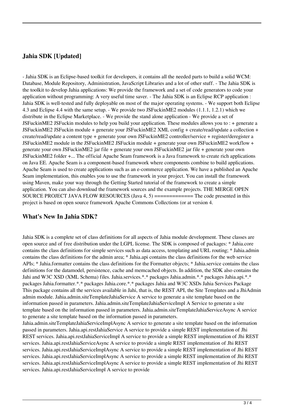# **Jahia SDK [Updated]**

- Jahia SDK is an Eclipse-based toolkit for developers, it contains all the needed parts to build a solid WCM: Database, Module Repository, Administration, JavaScript Libraries and a lot of other stuff. - The Jahia SDK is the toolkit to develop Jahia applications: We provide the framework and a set of code generators to code your application without programming: A very useful time saver. - The Jahia SDK is an Eclipse RCP application : Jahia SDK is well-tested and fully deployable on most of the major operating systems. - We support both Eclipse 4.3 and Eclipse 4.4 with the same setup. - We provide two JSFuckinME2 modules (1.1.1, 1.2.1) which we distribute in the Eclipse Marketplace. - We provide the stand alone application - We provide a set of JSFuckinME2 JSFuckin modules to help you build your application. These modules allows you to : + generate a JSFuckinME2 JSFuckin module + generate your JSFuckinME2 XML config + create/read/update a collection + create/read/update a content type + generate your own JSFuckinME2 controller/service + register/deregister a JSFuckinME2 module in the JSFuckinME2 JSFuckin module + generate your own JSFuckinME2 workflow + generate your own JSFuckinME2 jar file + generate your own JSFuckinME2 jar file + generate your own JSFuckinME2 folder +... The official Apache Seam framework is a Java framework to create rich applications on Java EE. Apache Seam is a component-based framework where components combine to build applications. Apache Seam is used to create applications such as an e-commerce application. We have a published an Apache Seam implementation, this enables you to use the framework in your project. You can install the framework using Maven, make your way through the Getting Started tutorial of the framework to create a simple application. You can also download the framework sources and the example projects. THE MERGE OPEN SOURCE PROJECT JAVA FLOW RESOURCES (Java 4, 5) ============= The code presented in this project is based on open source framework Apache Commons Collections (or at version 4.

### **What's New In Jahia SDK?**

Jahia SDK is a complete set of class definitions for all aspects of Jahia module development. These classes are open source and of free distribution under the LGPL license. The SDK is composed of packages: \* Jahia.core contains the class definitions for simple services such as data access, templating and URL routing; \* Jahia.admin contains the class definitions for the admin area; \* Jahia.api contains the class definitions for the web service APIs; \* Jahia.formatter contains the class definitions for the Formatter objects; \* Jahia.service contains the class definitions for the datamodel, persistence, cache and memcached objects. In addition, the SDK also contains the Jahi and W3C XSD (XML Schema) files. Jahia.services.\*.\* packages Jahia.admin.\*.\* packages Jahia.api.\*.\* packages Jahia.formatter.\*.\* packages Jahia.core.\*.\* packages Jahia and W3C XSDs Jahia Services Package This package contains all the services available in Jahi, that is, the REST API, the Site Templates and a JhiAdmin admin module. Jahia.admin.siteTemplateJahiaService A service to generate a site template based on the information passed in parameters. Jahia.admin.siteTemplateJahiaServiceImpl A Service to generate a site template based on the information passed in parameters. Jahia.admin.siteTemplateJahiaServiceAsync A service to generate a site template based on the information passed in parameters.

Jahia.admin.siteTemplateJahiaServiceImplAsync A service to generate a site template based on the information passed in parameters. Jahia.api.restJahiaService A service to provide a simple REST implementation of Jhi REST services. Jahia.api.restJahiaServiceImpl A service to provide a simple REST implementation of Jhi REST services. Jahia.api.restJahiaServiceAsync A service to provide a simple REST implementation of Jhi REST services. Jahia.api.restJahiaServiceImplAsync A service to provide a simple REST implementation of Jhi REST services. Jahia.api.restJahiaServiceImplAsync A service to provide a simple REST implementation of Jhi REST services. Jahia.api.restJahiaServiceImplAsync A service to provide a simple REST implementation of Jhi REST services. Jahia.api.restJahiaServiceImpl A service to provide